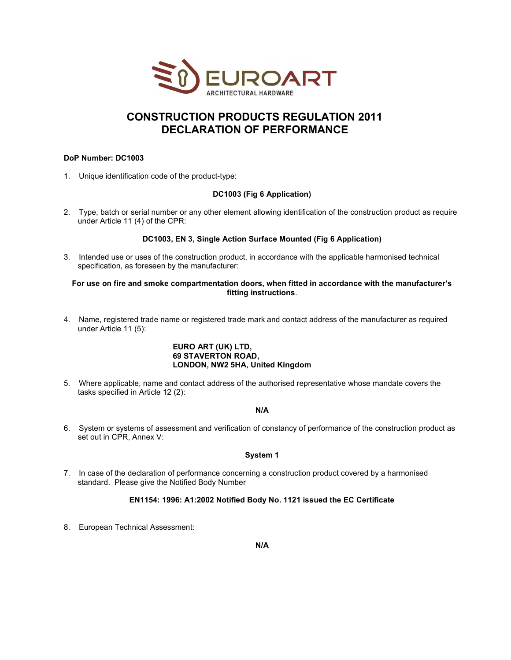

# CONSTRUCTION PRODUCTS REGULATION 2011 DECLARATION OF PERFORMANCE

# DoP Number: DC1003

1. Unique identification code of the product-type:

### DC1003 (Fig 6 Application)

2. Type, batch or serial number or any other element allowing identification of the construction product as require under Article 11 (4) of the CPR:

# DC1003, EN 3, Single Action Surface Mounted (Fig 6 Application)

3. Intended use or uses of the construction product, in accordance with the applicable harmonised technical specification, as foreseen by the manufacturer:

#### For use on fire and smoke compartmentation doors, when fitted in accordance with the manufacturer's fitting instructions.

4. Name, registered trade name or registered trade mark and contact address of the manufacturer as required under Article 11 (5):

### EURO ART (UK) LTD, 69 STAVERTON ROAD, LONDON, NW2 5HA, United Kingdom

5. Where applicable, name and contact address of the authorised representative whose mandate covers the tasks specified in Article 12 (2):

# N/A

6. System or systems of assessment and verification of constancy of performance of the construction product as set out in CPR, Annex V:

#### System 1

7. In case of the declaration of performance concerning a construction product covered by a harmonised standard. Please give the Notified Body Number

# EN1154: 1996: A1:2002 Notified Body No. 1121 issued the EC Certificate

8. European Technical Assessment: